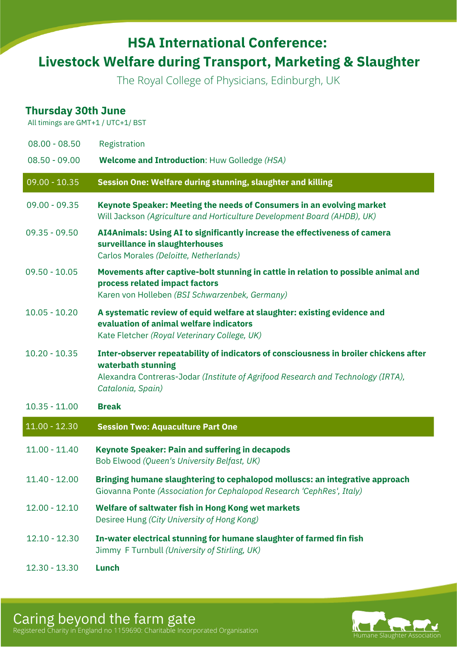## **HSA International Conference: Livestock Welfare during Transport, Marketing & Slaughter**

The Royal College of Physicians, Edinburgh, UK

## **Thursday 30th June**

All timings are GMT+1 / UTC+1/ BST

| $08.00 - 08.50$ | Registration                                                                                                                                                                                                         |
|-----------------|----------------------------------------------------------------------------------------------------------------------------------------------------------------------------------------------------------------------|
| $08.50 - 09.00$ | <b>Welcome and Introduction: Huw Golledge (HSA)</b>                                                                                                                                                                  |
| $09.00 - 10.35$ | Session One: Welfare during stunning, slaughter and killing                                                                                                                                                          |
| $09.00 - 09.35$ | Keynote Speaker: Meeting the needs of Consumers in an evolving market<br>Will Jackson (Agriculture and Horticulture Development Board (AHDB), UK)                                                                    |
| $09.35 - 09.50$ | AI4Animals: Using AI to significantly increase the effectiveness of camera<br>surveillance in slaughterhouses<br>Carlos Morales (Deloitte, Netherlands)                                                              |
| $09.50 - 10.05$ | Movements after captive-bolt stunning in cattle in relation to possible animal and<br>process related impact factors<br>Karen von Holleben (BSI Schwarzenbek, Germany)                                               |
| $10.05 - 10.20$ | A systematic review of equid welfare at slaughter: existing evidence and<br>evaluation of animal welfare indicators<br>Kate Fletcher (Royal Veterinary College, UK)                                                  |
| $10.20 - 10.35$ | Inter-observer repeatability of indicators of consciousness in broiler chickens after<br>waterbath stunning<br>Alexandra Contreras-Jodar (Institute of Agrifood Research and Technology (IRTA),<br>Catalonia, Spain) |
| $10.35 - 11.00$ | <b>Break</b>                                                                                                                                                                                                         |
| $11.00 - 12.30$ | <b>Session Two: Aquaculture Part One</b>                                                                                                                                                                             |
| $11.00 - 11.40$ | <b>Keynote Speaker: Pain and suffering in decapods</b><br>Bob Elwood (Queen's University Belfast, UK)                                                                                                                |
| $11.40 - 12.00$ | Bringing humane slaughtering to cephalopod molluscs: an integrative approach<br>Giovanna Ponte (Association for Cephalopod Research 'CephRes', Italy)                                                                |
| $12.00 - 12.10$ | Welfare of saltwater fish in Hong Kong wet markets<br>Desiree Hung (City University of Hong Kong)                                                                                                                    |
| $12.10 - 12.30$ | In-water electrical stunning for humane slaughter of farmed fin fish<br>Jimmy F Turnbull (University of Stirling, UK)                                                                                                |
| $12.30 - 13.30$ | Lunch                                                                                                                                                                                                                |

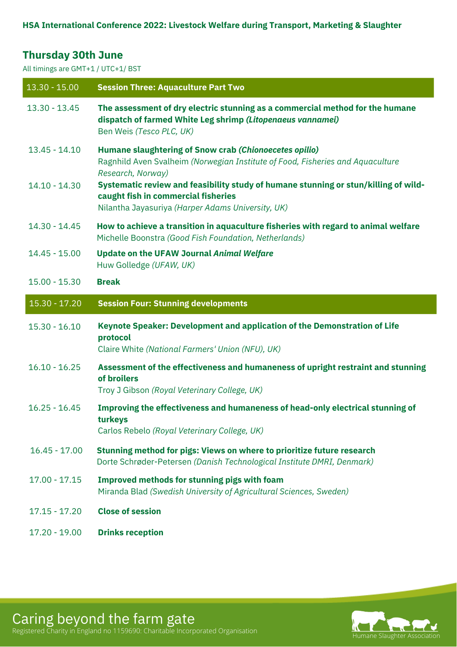## **Thursday 30th June**

All timings are GMT+1 / UTC+1/ BST

| $13.30 - 15.00$ | <b>Session Three: Aquaculture Part Two</b>                                                                                                                                      |
|-----------------|---------------------------------------------------------------------------------------------------------------------------------------------------------------------------------|
| $13.30 - 13.45$ | The assessment of dry electric stunning as a commercial method for the humane<br>dispatch of farmed White Leg shrimp (Litopenaeus vannamei)<br>Ben Weis (Tesco PLC, UK)         |
| $13.45 - 14.10$ | Humane slaughtering of Snow crab (Chionoecetes opilio)<br>Ragnhild Aven Svalheim (Norwegian Institute of Food, Fisheries and Aquaculture<br>Research, Norway)                   |
| $14.10 - 14.30$ | Systematic review and feasibility study of humane stunning or stun/killing of wild-<br>caught fish in commercial fisheries<br>Nilantha Jayasuriya (Harper Adams University, UK) |
| 14.30 - 14.45   | How to achieve a transition in aquaculture fisheries with regard to animal welfare<br>Michelle Boonstra (Good Fish Foundation, Netherlands)                                     |
| $14.45 - 15.00$ | <b>Update on the UFAW Journal Animal Welfare</b><br>Huw Golledge (UFAW, UK)                                                                                                     |
| $15.00 - 15.30$ | <b>Break</b>                                                                                                                                                                    |
| $15.30 - 17.20$ | <b>Session Four: Stunning developments</b>                                                                                                                                      |
| $15.30 - 16.10$ | Keynote Speaker: Development and application of the Demonstration of Life<br>protocol<br>Claire White (National Farmers' Union (NFU), UK)                                       |
| $16.10 - 16.25$ | Assessment of the effectiveness and humaneness of upright restraint and stunning<br>of broilers<br>Troy J Gibson (Royal Veterinary College, UK)                                 |
| $16.25 - 16.45$ | Improving the effectiveness and humaneness of head-only electrical stunning of<br>turkeys<br>Carlos Rebelo (Royal Veterinary College, UK)                                       |
| $16.45 - 17.00$ | Stunning method for pigs: Views on where to prioritize future research<br>Dorte Schrøder-Petersen (Danish Technological Institute DMRI, Denmark)                                |
| $17.00 - 17.15$ | Improved methods for stunning pigs with foam<br>Miranda Blad (Swedish University of Agricultural Sciences, Sweden)                                                              |
| $17.15 - 17.20$ | <b>Close of session</b>                                                                                                                                                         |
| $17.20 - 19.00$ | <b>Drinks reception</b>                                                                                                                                                         |



Caring beyond the farm gate Registered Charity in England no 1159690: Charitable Incorporated Organisation Humane Slaughter Association Humane Slaughter Association